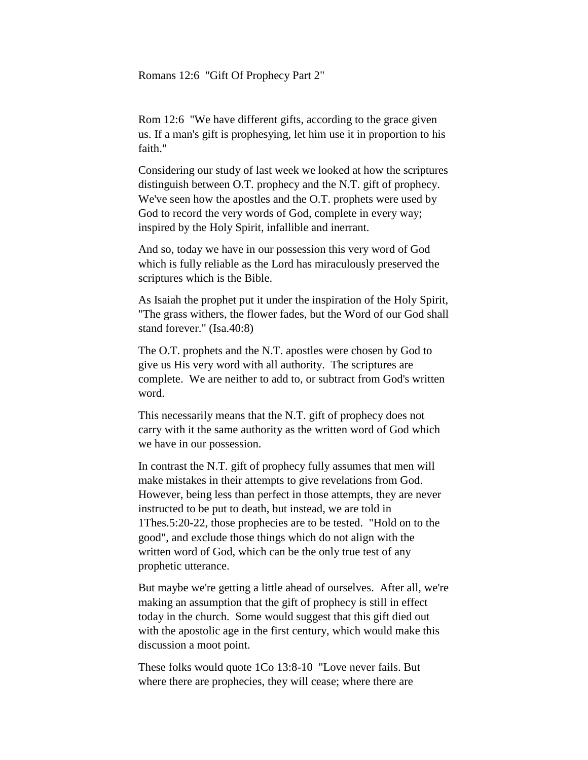Romans 12:6 "Gift Of Prophecy Part 2"

Rom 12:6 "We have different gifts, according to the grace given us. If a man's gift is prophesying, let him use it in proportion to his faith."

Considering our study of last week we looked at how the scriptures distinguish between O.T. prophecy and the N.T. gift of prophecy. We've seen how the apostles and the O.T. prophets were used by God to record the very words of God, complete in every way; inspired by the Holy Spirit, infallible and inerrant.

And so, today we have in our possession this very word of God which is fully reliable as the Lord has miraculously preserved the scriptures which is the Bible.

As Isaiah the prophet put it under the inspiration of the Holy Spirit, "The grass withers, the flower fades, but the Word of our God shall stand forever." (Isa.40:8)

The O.T. prophets and the N.T. apostles were chosen by God to give us His very word with all authority. The scriptures are complete. We are neither to add to, or subtract from God's written word.

This necessarily means that the N.T. gift of prophecy does not carry with it the same authority as the written word of God which we have in our possession.

In contrast the N.T. gift of prophecy fully assumes that men will make mistakes in their attempts to give revelations from God. However, being less than perfect in those attempts, they are never instructed to be put to death, but instead, we are told in 1Thes.5:20-22, those prophecies are to be tested. "Hold on to the good", and exclude those things which do not align with the written word of God, which can be the only true test of any prophetic utterance.

But maybe we're getting a little ahead of ourselves. After all, we're making an assumption that the gift of prophecy is still in effect today in the church. Some would suggest that this gift died out with the apostolic age in the first century, which would make this discussion a moot point.

These folks would quote 1Co 13:8-10 "Love never fails. But where there are prophecies, they will cease; where there are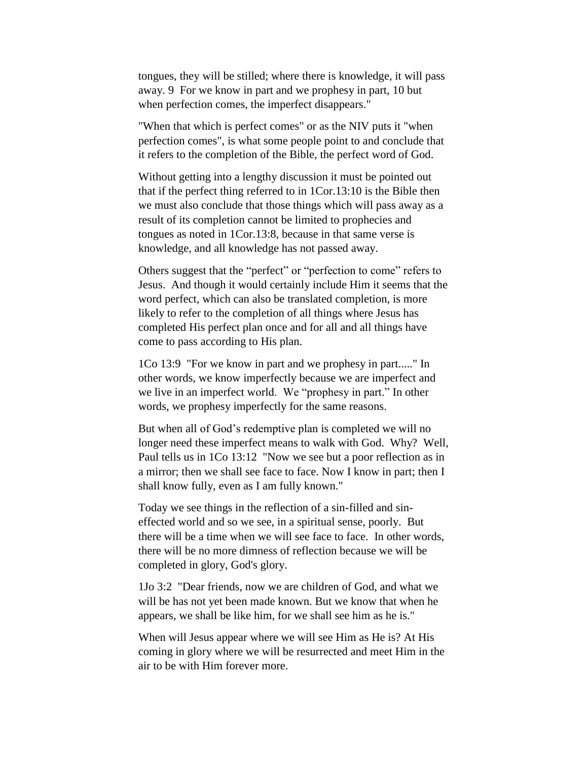tongues, they will be stilled; where there is knowledge, it will pass away. 9 For we know in part and we prophesy in part, 10 but when perfection comes, the imperfect disappears."

"When that which is perfect comes" or as the NIV puts it "when perfection comes", is what some people point to and conclude that it refers to the completion of the Bible, the perfect word of God.

Without getting into a lengthy discussion it must be pointed out that if the perfect thing referred to in 1Cor.13:10 is the Bible then we must also conclude that those things which will pass away as a result of its completion cannot be limited to prophecies and tongues as noted in 1Cor.13:8, because in that same verse is knowledge, and all knowledge has not passed away.

Others suggest that the "perfect" or "perfection to come" refers to Jesus. And though it would certainly include Him it seems that the word perfect, which can also be translated completion, is more likely to refer to the completion of all things where Jesus has completed His perfect plan once and for all and all things have come to pass according to His plan.

1Co 13:9 "For we know in part and we prophesy in part....." In other words, we know imperfectly because we are imperfect and we live in an imperfect world. We "prophesy in part." In other words, we prophesy imperfectly for the same reasons.

But when all of God's redemptive plan is completed we will no longer need these imperfect means to walk with God. Why? Well, Paul tells us in 1Co 13:12 "Now we see but a poor reflection as in a mirror; then we shall see face to face. Now I know in part; then I shall know fully, even as I am fully known."

Today we see things in the reflection of a sin-filled and sineffected world and so we see, in a spiritual sense, poorly. But there will be a time when we will see face to face. In other words, there will be no more dimness of reflection because we will be completed in glory, God's glory.

1Jo 3:2 "Dear friends, now we are children of God, and what we will be has not yet been made known. But we know that when he appears, we shall be like him, for we shall see him as he is."

When will Jesus appear where we will see Him as He is? At His coming in glory where we will be resurrected and meet Him in the air to be with Him forever more.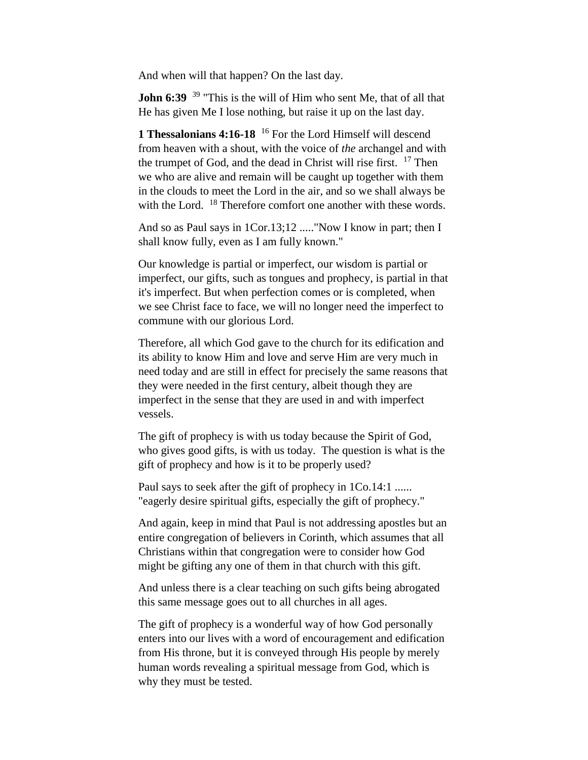And when will that happen? On the last day.

**John 6:39** <sup>39</sup> "This is the will of Him who sent Me, that of all that He has given Me I lose nothing, but raise it up on the last day.

**1 Thessalonians 4:16-18** <sup>16</sup> For the Lord Himself will descend from heaven with a shout, with the voice of *the* archangel and with the trumpet of God, and the dead in Christ will rise first. <sup>17</sup> Then we who are alive and remain will be caught up together with them in the clouds to meet the Lord in the air, and so we shall always be with the Lord. <sup>18</sup> Therefore comfort one another with these words.

And so as Paul says in 1Cor.13;12 ....."Now I know in part; then I shall know fully, even as I am fully known."

Our knowledge is partial or imperfect, our wisdom is partial or imperfect, our gifts, such as tongues and prophecy, is partial in that it's imperfect. But when perfection comes or is completed, when we see Christ face to face, we will no longer need the imperfect to commune with our glorious Lord.

Therefore, all which God gave to the church for its edification and its ability to know Him and love and serve Him are very much in need today and are still in effect for precisely the same reasons that they were needed in the first century, albeit though they are imperfect in the sense that they are used in and with imperfect vessels.

The gift of prophecy is with us today because the Spirit of God, who gives good gifts, is with us today. The question is what is the gift of prophecy and how is it to be properly used?

Paul says to seek after the gift of prophecy in 1Co.14:1 ...... "eagerly desire spiritual gifts, especially the gift of prophecy."

And again, keep in mind that Paul is not addressing apostles but an entire congregation of believers in Corinth, which assumes that all Christians within that congregation were to consider how God might be gifting any one of them in that church with this gift.

And unless there is a clear teaching on such gifts being abrogated this same message goes out to all churches in all ages.

The gift of prophecy is a wonderful way of how God personally enters into our lives with a word of encouragement and edification from His throne, but it is conveyed through His people by merely human words revealing a spiritual message from God, which is why they must be tested.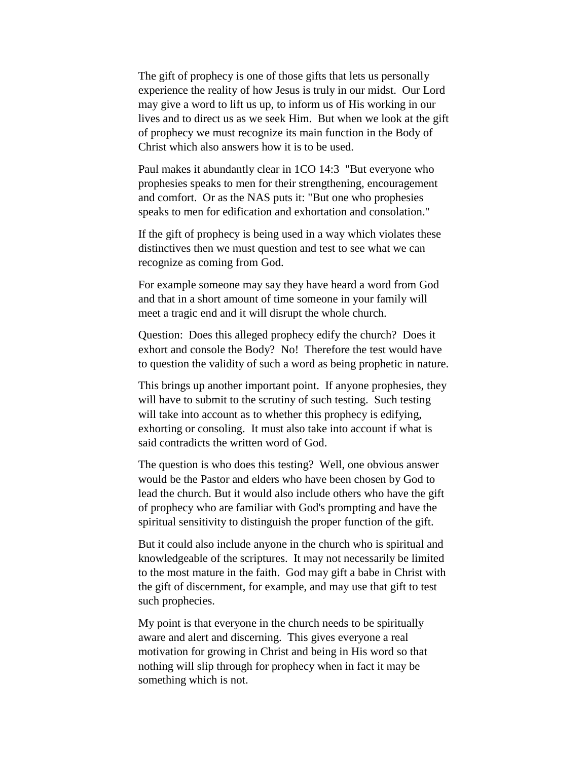The gift of prophecy is one of those gifts that lets us personally experience the reality of how Jesus is truly in our midst. Our Lord may give a word to lift us up, to inform us of His working in our lives and to direct us as we seek Him. But when we look at the gift of prophecy we must recognize its main function in the Body of Christ which also answers how it is to be used.

Paul makes it abundantly clear in 1CO 14:3 "But everyone who prophesies speaks to men for their strengthening, encouragement and comfort. Or as the NAS puts it: "But one who prophesies speaks to men for edification and exhortation and consolation."

If the gift of prophecy is being used in a way which violates these distinctives then we must question and test to see what we can recognize as coming from God.

For example someone may say they have heard a word from God and that in a short amount of time someone in your family will meet a tragic end and it will disrupt the whole church.

Question: Does this alleged prophecy edify the church? Does it exhort and console the Body? No! Therefore the test would have to question the validity of such a word as being prophetic in nature.

This brings up another important point. If anyone prophesies, they will have to submit to the scrutiny of such testing. Such testing will take into account as to whether this prophecy is edifying, exhorting or consoling. It must also take into account if what is said contradicts the written word of God.

The question is who does this testing? Well, one obvious answer would be the Pastor and elders who have been chosen by God to lead the church. But it would also include others who have the gift of prophecy who are familiar with God's prompting and have the spiritual sensitivity to distinguish the proper function of the gift.

But it could also include anyone in the church who is spiritual and knowledgeable of the scriptures. It may not necessarily be limited to the most mature in the faith. God may gift a babe in Christ with the gift of discernment, for example, and may use that gift to test such prophecies.

My point is that everyone in the church needs to be spiritually aware and alert and discerning. This gives everyone a real motivation for growing in Christ and being in His word so that nothing will slip through for prophecy when in fact it may be something which is not.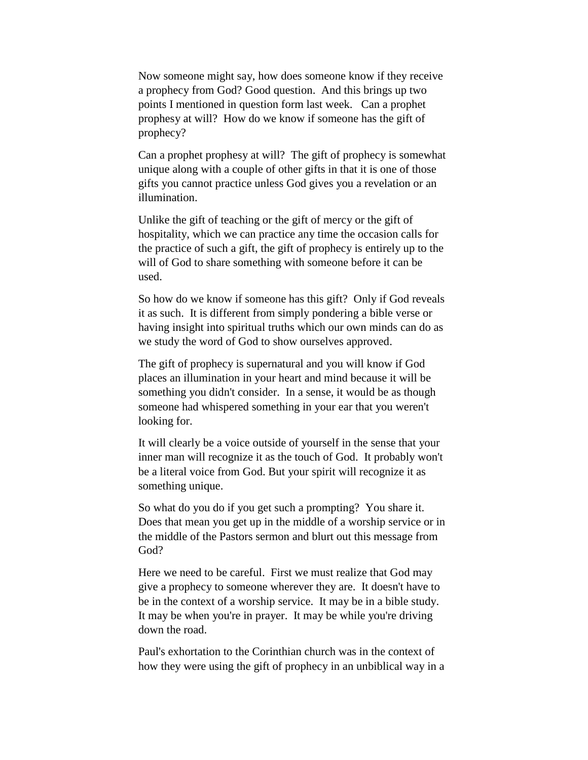Now someone might say, how does someone know if they receive a prophecy from God? Good question. And this brings up two points I mentioned in question form last week. Can a prophet prophesy at will? How do we know if someone has the gift of prophecy?

Can a prophet prophesy at will? The gift of prophecy is somewhat unique along with a couple of other gifts in that it is one of those gifts you cannot practice unless God gives you a revelation or an illumination.

Unlike the gift of teaching or the gift of mercy or the gift of hospitality, which we can practice any time the occasion calls for the practice of such a gift, the gift of prophecy is entirely up to the will of God to share something with someone before it can be used.

So how do we know if someone has this gift? Only if God reveals it as such. It is different from simply pondering a bible verse or having insight into spiritual truths which our own minds can do as we study the word of God to show ourselves approved.

The gift of prophecy is supernatural and you will know if God places an illumination in your heart and mind because it will be something you didn't consider. In a sense, it would be as though someone had whispered something in your ear that you weren't looking for.

It will clearly be a voice outside of yourself in the sense that your inner man will recognize it as the touch of God. It probably won't be a literal voice from God. But your spirit will recognize it as something unique.

So what do you do if you get such a prompting? You share it. Does that mean you get up in the middle of a worship service or in the middle of the Pastors sermon and blurt out this message from God?

Here we need to be careful. First we must realize that God may give a prophecy to someone wherever they are. It doesn't have to be in the context of a worship service. It may be in a bible study. It may be when you're in prayer. It may be while you're driving down the road.

Paul's exhortation to the Corinthian church was in the context of how they were using the gift of prophecy in an unbiblical way in a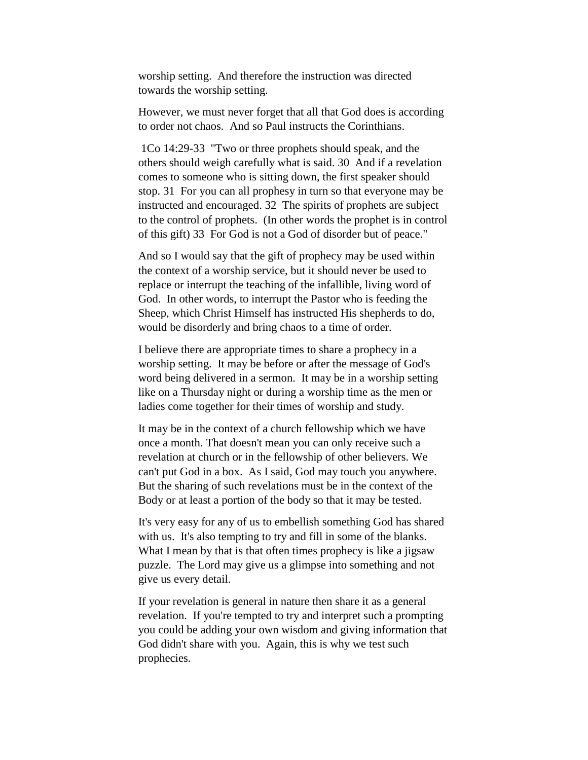worship setting. And therefore the instruction was directed towards the worship setting.

However, we must never forget that all that God does is according to order not chaos. And so Paul instructs the Corinthians.

1Co 14:29-33 "Two or three prophets should speak, and the others should weigh carefully what is said. 30 And if a revelation comes to someone who is sitting down, the first speaker should stop. 31 For you can all prophesy in turn so that everyone may be instructed and encouraged. 32 The spirits of prophets are subject to the control of prophets. (In other words the prophet is in control of this gift) 33 For God is not a God of disorder but of peace."

And so I would say that the gift of prophecy may be used within the context of a worship service, but it should never be used to replace or interrupt the teaching of the infallible, living word of God. In other words, to interrupt the Pastor who is feeding the Sheep, which Christ Himself has instructed His shepherds to do, would be disorderly and bring chaos to a time of order.

I believe there are appropriate times to share a prophecy in a worship setting. It may be before or after the message of God's word being delivered in a sermon. It may be in a worship setting like on a Thursday night or during a worship time as the men or ladies come together for their times of worship and study.

It may be in the context of a church fellowship which we have once a month. That doesn't mean you can only receive such a revelation at church or in the fellowship of other believers. We can't put God in a box. As I said, God may touch you anywhere. But the sharing of such revelations must be in the context of the Body or at least a portion of the body so that it may be tested.

It's very easy for any of us to embellish something God has shared with us. It's also tempting to try and fill in some of the blanks. What I mean by that is that often times prophecy is like a jigsaw puzzle. The Lord may give us a glimpse into something and not give us every detail.

If your revelation is general in nature then share it as a general revelation. If you're tempted to try and interpret such a prompting you could be adding your own wisdom and giving information that God didn't share with you. Again, this is why we test such prophecies.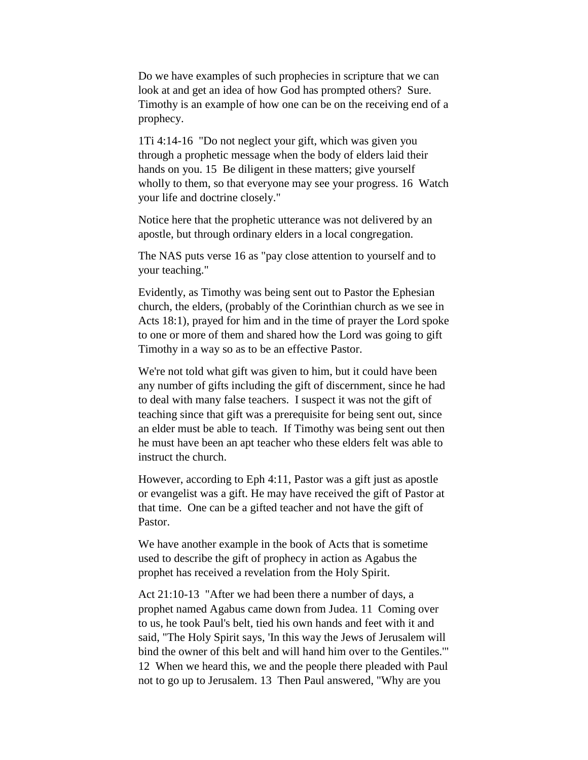Do we have examples of such prophecies in scripture that we can look at and get an idea of how God has prompted others? Sure. Timothy is an example of how one can be on the receiving end of a prophecy.

1Ti 4:14-16 "Do not neglect your gift, which was given you through a prophetic message when the body of elders laid their hands on you. 15 Be diligent in these matters; give yourself wholly to them, so that everyone may see your progress. 16 Watch your life and doctrine closely."

Notice here that the prophetic utterance was not delivered by an apostle, but through ordinary elders in a local congregation.

The NAS puts verse 16 as "pay close attention to yourself and to your teaching."

Evidently, as Timothy was being sent out to Pastor the Ephesian church, the elders, (probably of the Corinthian church as we see in Acts 18:1), prayed for him and in the time of prayer the Lord spoke to one or more of them and shared how the Lord was going to gift Timothy in a way so as to be an effective Pastor.

We're not told what gift was given to him, but it could have been any number of gifts including the gift of discernment, since he had to deal with many false teachers. I suspect it was not the gift of teaching since that gift was a prerequisite for being sent out, since an elder must be able to teach. If Timothy was being sent out then he must have been an apt teacher who these elders felt was able to instruct the church.

However, according to Eph 4:11, Pastor was a gift just as apostle or evangelist was a gift. He may have received the gift of Pastor at that time. One can be a gifted teacher and not have the gift of Pastor.

We have another example in the book of Acts that is sometime used to describe the gift of prophecy in action as Agabus the prophet has received a revelation from the Holy Spirit.

Act 21:10-13 "After we had been there a number of days, a prophet named Agabus came down from Judea. 11 Coming over to us, he took Paul's belt, tied his own hands and feet with it and said, "The Holy Spirit says, 'In this way the Jews of Jerusalem will bind the owner of this belt and will hand him over to the Gentiles.'" 12 When we heard this, we and the people there pleaded with Paul not to go up to Jerusalem. 13 Then Paul answered, "Why are you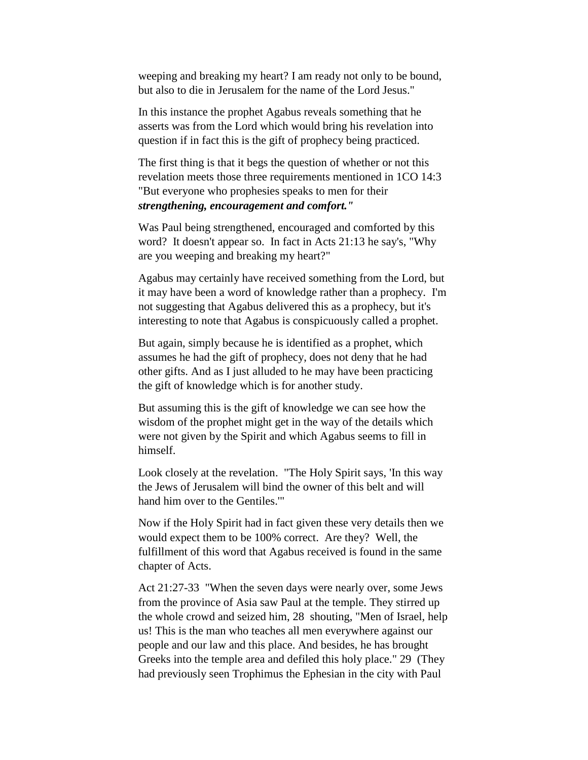weeping and breaking my heart? I am ready not only to be bound, but also to die in Jerusalem for the name of the Lord Jesus."

In this instance the prophet Agabus reveals something that he asserts was from the Lord which would bring his revelation into question if in fact this is the gift of prophecy being practiced.

The first thing is that it begs the question of whether or not this revelation meets those three requirements mentioned in 1CO 14:3 "But everyone who prophesies speaks to men for their *strengthening, encouragement and comfort."*

Was Paul being strengthened, encouraged and comforted by this word? It doesn't appear so. In fact in Acts 21:13 he say's, "Why are you weeping and breaking my heart?"

Agabus may certainly have received something from the Lord, but it may have been a word of knowledge rather than a prophecy. I'm not suggesting that Agabus delivered this as a prophecy, but it's interesting to note that Agabus is conspicuously called a prophet.

But again, simply because he is identified as a prophet, which assumes he had the gift of prophecy, does not deny that he had other gifts. And as I just alluded to he may have been practicing the gift of knowledge which is for another study.

But assuming this is the gift of knowledge we can see how the wisdom of the prophet might get in the way of the details which were not given by the Spirit and which Agabus seems to fill in himself.

Look closely at the revelation. "The Holy Spirit says, 'In this way the Jews of Jerusalem will bind the owner of this belt and will hand him over to the Gentiles.'"

Now if the Holy Spirit had in fact given these very details then we would expect them to be 100% correct. Are they? Well, the fulfillment of this word that Agabus received is found in the same chapter of Acts.

Act 21:27-33 "When the seven days were nearly over, some Jews from the province of Asia saw Paul at the temple. They stirred up the whole crowd and seized him, 28 shouting, "Men of Israel, help us! This is the man who teaches all men everywhere against our people and our law and this place. And besides, he has brought Greeks into the temple area and defiled this holy place." 29 (They had previously seen Trophimus the Ephesian in the city with Paul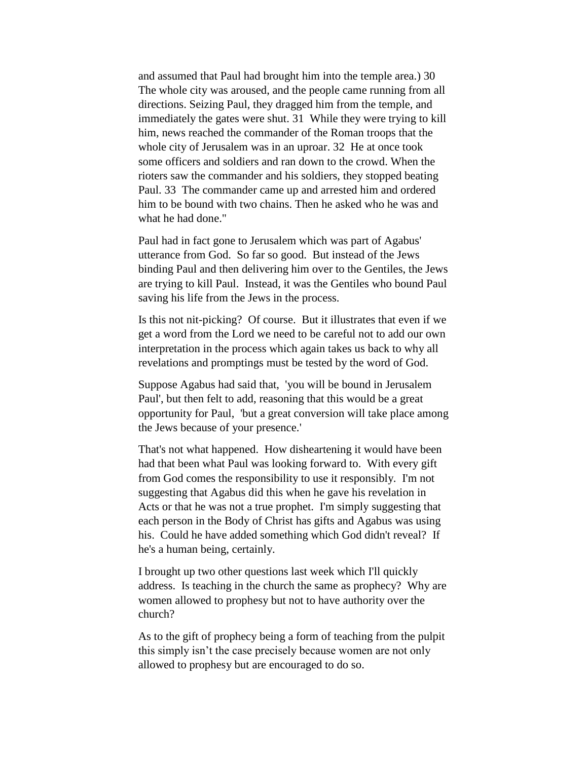and assumed that Paul had brought him into the temple area.) 30 The whole city was aroused, and the people came running from all directions. Seizing Paul, they dragged him from the temple, and immediately the gates were shut. 31 While they were trying to kill him, news reached the commander of the Roman troops that the whole city of Jerusalem was in an uproar. 32 He at once took some officers and soldiers and ran down to the crowd. When the rioters saw the commander and his soldiers, they stopped beating Paul. 33 The commander came up and arrested him and ordered him to be bound with two chains. Then he asked who he was and what he had done."

Paul had in fact gone to Jerusalem which was part of Agabus' utterance from God. So far so good. But instead of the Jews binding Paul and then delivering him over to the Gentiles, the Jews are trying to kill Paul. Instead, it was the Gentiles who bound Paul saving his life from the Jews in the process.

Is this not nit-picking? Of course. But it illustrates that even if we get a word from the Lord we need to be careful not to add our own interpretation in the process which again takes us back to why all revelations and promptings must be tested by the word of God.

Suppose Agabus had said that, 'you will be bound in Jerusalem Paul', but then felt to add, reasoning that this would be a great opportunity for Paul, 'but a great conversion will take place among the Jews because of your presence.'

That's not what happened. How disheartening it would have been had that been what Paul was looking forward to. With every gift from God comes the responsibility to use it responsibly. I'm not suggesting that Agabus did this when he gave his revelation in Acts or that he was not a true prophet. I'm simply suggesting that each person in the Body of Christ has gifts and Agabus was using his. Could he have added something which God didn't reveal? If he's a human being, certainly.

I brought up two other questions last week which I'll quickly address. Is teaching in the church the same as prophecy? Why are women allowed to prophesy but not to have authority over the church?

As to the gift of prophecy being a form of teaching from the pulpit this simply isn't the case precisely because women are not only allowed to prophesy but are encouraged to do so.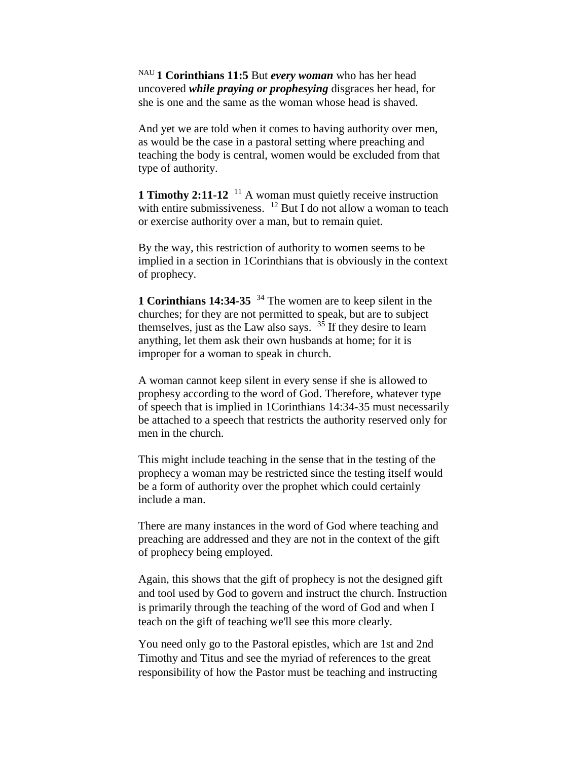NAU **1 Corinthians 11:5** But *every woman* who has her head uncovered *while praying or prophesying* disgraces her head, for she is one and the same as the woman whose head is shaved.

And yet we are told when it comes to having authority over men, as would be the case in a pastoral setting where preaching and teaching the body is central, women would be excluded from that type of authority.

**1 Timothy 2:11-12** <sup>11</sup> A woman must quietly receive instruction with entire submissiveness. <sup>12</sup> But I do not allow a woman to teach or exercise authority over a man, but to remain quiet.

By the way, this restriction of authority to women seems to be implied in a section in 1Corinthians that is obviously in the context of prophecy.

**1 Corinthians 14:34-35** <sup>34</sup> The women are to keep silent in the churches; for they are not permitted to speak, but are to subject themselves, just as the Law also says.  $3\overline{5}$  If they desire to learn anything, let them ask their own husbands at home; for it is improper for a woman to speak in church.

A woman cannot keep silent in every sense if she is allowed to prophesy according to the word of God. Therefore, whatever type of speech that is implied in 1Corinthians 14:34-35 must necessarily be attached to a speech that restricts the authority reserved only for men in the church.

This might include teaching in the sense that in the testing of the prophecy a woman may be restricted since the testing itself would be a form of authority over the prophet which could certainly include a man.

There are many instances in the word of God where teaching and preaching are addressed and they are not in the context of the gift of prophecy being employed.

Again, this shows that the gift of prophecy is not the designed gift and tool used by God to govern and instruct the church. Instruction is primarily through the teaching of the word of God and when I teach on the gift of teaching we'll see this more clearly.

You need only go to the Pastoral epistles, which are 1st and 2nd Timothy and Titus and see the myriad of references to the great responsibility of how the Pastor must be teaching and instructing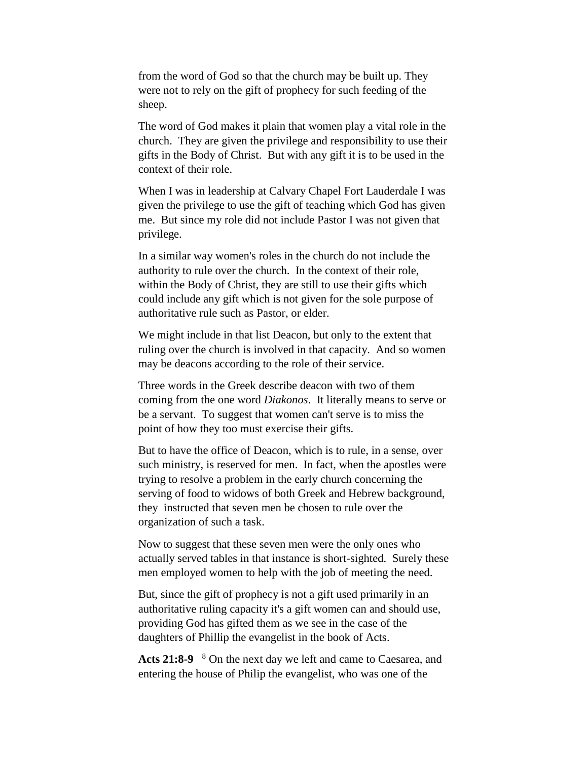from the word of God so that the church may be built up. They were not to rely on the gift of prophecy for such feeding of the sheep.

The word of God makes it plain that women play a vital role in the church. They are given the privilege and responsibility to use their gifts in the Body of Christ. But with any gift it is to be used in the context of their role.

When I was in leadership at Calvary Chapel Fort Lauderdale I was given the privilege to use the gift of teaching which God has given me. But since my role did not include Pastor I was not given that privilege.

In a similar way women's roles in the church do not include the authority to rule over the church. In the context of their role, within the Body of Christ, they are still to use their gifts which could include any gift which is not given for the sole purpose of authoritative rule such as Pastor, or elder.

We might include in that list Deacon, but only to the extent that ruling over the church is involved in that capacity. And so women may be deacons according to the role of their service.

Three words in the Greek describe deacon with two of them coming from the one word *Diakonos*. It literally means to serve or be a servant. To suggest that women can't serve is to miss the point of how they too must exercise their gifts.

But to have the office of Deacon, which is to rule, in a sense, over such ministry, is reserved for men. In fact, when the apostles were trying to resolve a problem in the early church concerning the serving of food to widows of both Greek and Hebrew background, they instructed that seven men be chosen to rule over the organization of such a task.

Now to suggest that these seven men were the only ones who actually served tables in that instance is short-sighted. Surely these men employed women to help with the job of meeting the need.

But, since the gift of prophecy is not a gift used primarily in an authoritative ruling capacity it's a gift women can and should use, providing God has gifted them as we see in the case of the daughters of Phillip the evangelist in the book of Acts.

**Acts 21:8-9**  <sup>8</sup> On the next day we left and came to Caesarea, and entering the house of Philip the evangelist, who was one of the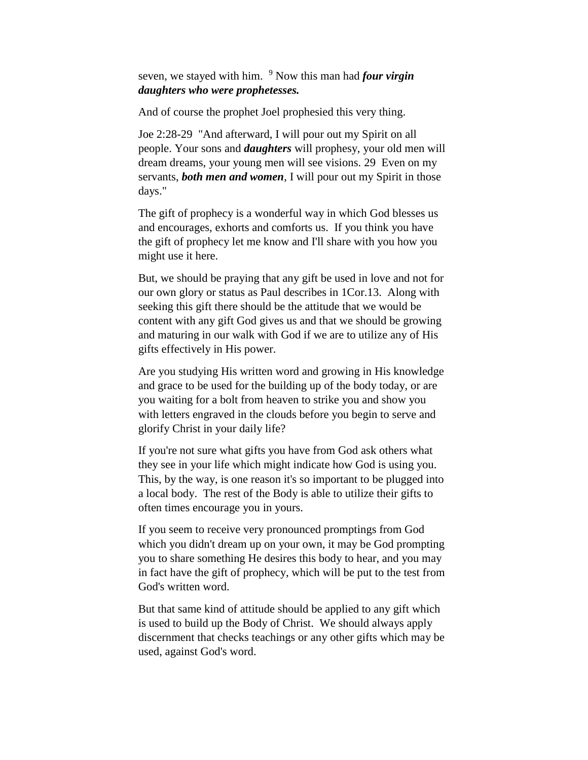seven, we stayed with him. <sup>9</sup> Now this man had *four virgin daughters who were prophetesses.* 

And of course the prophet Joel prophesied this very thing.

Joe 2:28-29 "And afterward, I will pour out my Spirit on all people. Your sons and *daughters* will prophesy, your old men will dream dreams, your young men will see visions. 29 Even on my servants, *both men and women*, I will pour out my Spirit in those days."

The gift of prophecy is a wonderful way in which God blesses us and encourages, exhorts and comforts us. If you think you have the gift of prophecy let me know and I'll share with you how you might use it here.

But, we should be praying that any gift be used in love and not for our own glory or status as Paul describes in 1Cor.13. Along with seeking this gift there should be the attitude that we would be content with any gift God gives us and that we should be growing and maturing in our walk with God if we are to utilize any of His gifts effectively in His power.

Are you studying His written word and growing in His knowledge and grace to be used for the building up of the body today, or are you waiting for a bolt from heaven to strike you and show you with letters engraved in the clouds before you begin to serve and glorify Christ in your daily life?

If you're not sure what gifts you have from God ask others what they see in your life which might indicate how God is using you. This, by the way, is one reason it's so important to be plugged into a local body. The rest of the Body is able to utilize their gifts to often times encourage you in yours.

If you seem to receive very pronounced promptings from God which you didn't dream up on your own, it may be God prompting you to share something He desires this body to hear, and you may in fact have the gift of prophecy, which will be put to the test from God's written word.

But that same kind of attitude should be applied to any gift which is used to build up the Body of Christ. We should always apply discernment that checks teachings or any other gifts which may be used, against God's word.